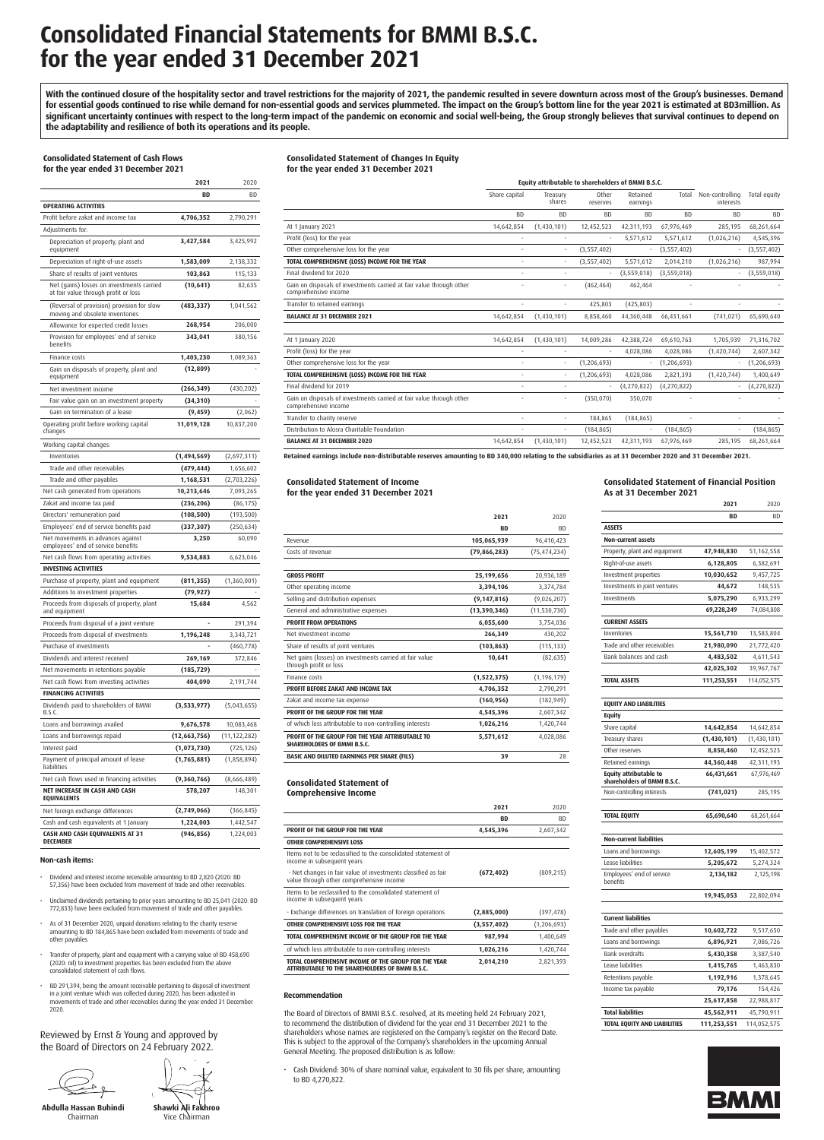## **Consolidated Financial Statements for BMMI B.S.C. for the year ended 31 December 2021**

With the continued closure of the hospitality sector and travel restrictions for the majority of 2021, the pandemic resulted in severe downturn across most of the Group's businesses. Demand **for essential goods continued to rise while demand for non-essential goods and services plummeted. The impact on the Group's bottom line for the year 2021 is estimated at BD3million. As significant uncertainty continues with respect to the long-term impact of the pandemic on economic and social well-being, the Group strongly believes that survival continues to depend on the adaptability and resilience of both its operations and its people.**

#### **Consolidated Statement of Cash Flows for the year ended 31 December 2021**

|                                                                                   | 2021                       | 2020                      |
|-----------------------------------------------------------------------------------|----------------------------|---------------------------|
|                                                                                   | BD                         | ВD                        |
| <b>OPERATING ACTIVITIES</b>                                                       |                            |                           |
| Profit before zakat and income tax                                                | 4,706,352                  | 2,790,291                 |
| Adjustments for:                                                                  |                            |                           |
| Depreciation of property, plant and<br>equipment                                  | 3,427,584                  | 3,425,992                 |
| Depreciation of right-of-use assets                                               | 1,583,009                  | 2,138,332                 |
| Share of results of joint ventures                                                | 103,863                    | 115,133                   |
| Net (gains) losses on investments carried<br>at fair value through profit or loss | (10, 641)                  | 82,635                    |
| (Reversal of provision) provision for slow<br>moving and obsolete inventories     | (483, 337)                 | 1,041,562                 |
| Allowance for expected credit losses                                              | 268,954                    | 206,000                   |
| Provision for employees' end of service<br>benefits                               | 343,041                    | 380,156                   |
| Finance costs                                                                     | 1,403,230                  | 1,089,363                 |
| Gain on disposals of property, plant and<br>equipment                             | (12, 809)                  |                           |
| Net investment income                                                             | (266, 349)                 | (430, 202)                |
| Fair value gain on an investment property                                         | (34, 310)                  |                           |
| Gain on termination of a lease                                                    | (9, 459)                   | (2,062)                   |
| Operating profit before working capital<br>changes                                | 11,019,128                 | 10,837,200                |
| Working capital changes:                                                          |                            |                           |
| Inventories                                                                       | (1,494,569)                | (2,697,311)               |
| Trade and other receivables                                                       | (479, 444)                 | 1,656,602                 |
| Trade and other payables                                                          | 1,168,531                  | (2,703,226)               |
| Net cash generated from operations                                                | 10,213,646                 | 7,093,265                 |
| Zakat and income tax paid                                                         | (236, 206)                 | (86, 175)                 |
| Directors' remuneration paid                                                      | (108, 500)                 | (193, 500)                |
| Employees' end of service benefits paid                                           | (337, 307)                 | (250,634)                 |
| Net movements in advances against<br>employees' end of service benefits           | 3,250                      | 60,090                    |
| Net cash flows from operating activities                                          | 9,534,883                  | 6,623,046                 |
| <b>INVESTING ACTIVITIES</b>                                                       |                            |                           |
| Purchase of property, plant and equipment                                         | (811, 355)                 | (1,360,001)               |
| Additions to investment properties                                                | (79, 927)                  |                           |
| Proceeds from disposals of property, plant<br>and equipment                       | 15,684                     | 4,562                     |
| Proceeds from disposal of a joint venture                                         |                            | 291,394                   |
| Proceeds from disposal of investments                                             | 1,196,248                  | 3,343,721                 |
| Purchase of investments                                                           |                            | (460, 778)                |
| Dividends and interest received                                                   | 269,169                    | 372,846                   |
| Net movements in retentions payable                                               | (185, 729)                 |                           |
| Net cash flows from investing activities                                          | 404,090                    | 2,191,744                 |
| <b>FINANCING ACTIVITIES</b>                                                       |                            |                           |
| Dividends paid to shareholders of BMMI<br>B.S.C.                                  | (3,533,977)                | (5,043,655)               |
| Loans and borrowings availed                                                      | 9,676,578                  | 10,083,468                |
| Loans and borrowings repaid                                                       | (12,663,756)               | (11, 122, 282)            |
| Interest paid<br>Payment of principal amount of lease                             | (1,073,730)<br>(1,765,881) | (725, 126)<br>(1,858,894) |
| liabilities                                                                       |                            |                           |
| Net cash flows used in financing activities<br>NET INCREASE IN CASH AND CASH      | (9,360,766)<br>578,207     | (8,666,489)<br>148,301    |
| <b>EQUIVALENTS</b>                                                                |                            |                           |
| Net foreign exchange differences                                                  | (2,749,066)                | (366, 845)                |
| Cash and cash equivalents at 1 January                                            | 1,224,003                  | 1,442,547                 |
| CASH AND CASH EQUIVALENTS AT 31<br><b>DECEMBER</b>                                | (946, 856)                 | 1,224,003                 |

### **Non-cash items:**

- Dividend and interest income receivable amounting to BD 2,820 (2020: BD 57,356) have been excluded from movement of trade and other receivables.
- Unclaimed dividends pertaining to prior years amounting to BD 25,041 (2020: BD 772,833) have been excluded from movement of trade and other payables.
- As of 31 December 2020, unpaid donations relating to the charity reserve amounting to BD 184,865 have been excluded from movements of trade and other payables.
- Transfer of property, plant and equipment with a carrying value of BD 458,690 (2020: nil) to investment properties has been excluded from the above consolidated statement of cash flows.
- BD 291,394, being the amount receivable pertaining to disposal of investment<br>in a joint venture which was collected during 2020, has been adjusted in<br>movements of trade and other receivables during the year ended 31 Decemb 2020.

Reviewed by Ernst & Young and approved by the Board of Directors on 24 February 2022.

 $\stackrel{\sim}{\rightarrow}$ 

**Abdulla Hassan Buhindi** Chairman



### **Consolidated Statement of Changes In Equity**

**for the year ended 31 December 2021**

|                                                                                              | Equity attributable to shareholders of BMMI B.S.C. |                    |                   |                      |               |                              |               |
|----------------------------------------------------------------------------------------------|----------------------------------------------------|--------------------|-------------------|----------------------|---------------|------------------------------|---------------|
|                                                                                              | Share capital                                      | Treasurv<br>shares | Other<br>reserves | Retained<br>earnings | Total         | Non-controlling<br>interests | Total equity  |
|                                                                                              | <b>BD</b>                                          | <b>BD</b>          | <b>BD</b>         | <b>BD</b>            | <b>BD</b>     | <b>BD</b>                    | <b>BD</b>     |
| At 1 January 2021                                                                            | 14,642,854                                         | (1,430,101)        | 12,452,523        | 42,311,193           | 67,976,469    | 285,195                      | 68,261,664    |
| Profit (loss) for the year                                                                   |                                                    |                    |                   | 5,571,612            | 5,571,612     | (1,026,216)                  | 4,545,396     |
| Other comprehensive loss for the year                                                        |                                                    |                    | (3,557,402)       |                      | (3,557,402)   |                              | (3,557,402)   |
| TOTAL COMPREHENSIVE (LOSS) INCOME FOR THE YEAR                                               |                                                    |                    | (3,557,402)       | 5,571,612            | 2,014,210     | (1,026,216)                  | 987,994       |
| Final dividend for 2020                                                                      |                                                    |                    |                   | (3,559,018)          | (3,559,018)   |                              | (3,559,018)   |
| Gain on disposals of investments carried at fair value through other<br>comprehensive income |                                                    |                    | (462, 464)        | 462,464              |               |                              |               |
| Transfer to retained earnings                                                                |                                                    |                    | 425,803           | (425, 803)           |               |                              |               |
| <b>BALANCE AT 31 DECEMBER 2021</b>                                                           | 14,642,854                                         | (1,430,101)        | 8,858,460         | 44,360,448           | 66,431,661    | (741, 021)                   | 65,690,640    |
|                                                                                              |                                                    |                    |                   |                      |               |                              |               |
| At 1 Ianuary 2020                                                                            | 14,642,854                                         | (1,430,101)        | 14,009,286        | 42,388,724           | 69.610.763    | 1,705,939                    | 71,316,702    |
| Profit (loss) for the year                                                                   |                                                    |                    |                   | 4,028,086            | 4,028,086     | (1,420,744)                  | 2,607,342     |
| Other comprehensive loss for the year                                                        |                                                    |                    | (1, 206, 693)     |                      | (1, 206, 693) |                              | (1, 206, 693) |
| TOTAL COMPREHENSIVE (LOSS) INCOME FOR THE YEAR                                               |                                                    |                    | (1, 206, 693)     | 4,028,086            | 2,821,393     | (1,420,744)                  | 1,400,649     |
| Final dividend for 2019                                                                      |                                                    |                    |                   | (4,270,822)          | (4,270,822)   |                              | (4,270,822)   |
| Gain on disposals of investments carried at fair value through other<br>comprehensive income |                                                    |                    | (350,070)         | 350,070              |               |                              |               |
| Transfer to charity reserve                                                                  |                                                    |                    | 184,865           | (184, 865)           |               |                              |               |
| Distribution to Alosra Charitable Foundation                                                 |                                                    |                    | (184, 865)        |                      | (184, 865)    |                              | (184, 865)    |
| <b>BALANCE AT 31 DECEMBER 2020</b>                                                           | 14,642,854                                         | (1,430,101)        | 12,452,523        | 42,311,193           | 67,976,469    | 285,195                      | 68,261,664    |
|                                                                                              |                                                    |                    |                   |                      |               |                              |               |

**Retained earnings include non-distributable reserves amounting to BD 340,000 relating to the subsidiaries as at 31 December 2020 and 31 December 2021.**

### **Consolidated Statement of Income for the year ended 31 December 2021**

|                                                                                        | 2021          | 2020           |
|----------------------------------------------------------------------------------------|---------------|----------------|
|                                                                                        | <b>RD</b>     | <b>BD</b>      |
| Revenue                                                                                | 105,065,939   | 96,410,423     |
| Costs of revenue                                                                       | (79,866,283)  | (75, 474, 234) |
|                                                                                        |               |                |
| <b>GROSS PROFIT</b>                                                                    | 25,199,656    | 20,936,189     |
| Other operating income                                                                 | 3,394,106     | 3,374,784      |
| Selling and distribution expenses                                                      | (9, 147, 816) | (9,026,207)    |
| General and administrative expenses                                                    | (13,390,346)  | (11, 530, 730) |
| <b>PROFIT FROM OPERATIONS</b>                                                          | 6,055,600     | 3,754,036      |
| Net investment income                                                                  | 266,349       | 430,202        |
| Share of results of joint ventures                                                     | (103, 863)    | (115, 133)     |
| Net gains (losses) on investments carried at fair value<br>through profit or loss      | 10,641        | (82, 635)      |
| Finance costs                                                                          | (1,522,375)   | (1, 196, 179)  |
| PROFIT BEFORE ZAKAT AND INCOME TAX                                                     | 4,706,352     | 2,790,291      |
| Zakat and income tax expense                                                           | (160, 956)    | (182, 949)     |
| PROFIT OF THE GROUP FOR THE YEAR                                                       | 4,545,396     | 2,607,342      |
| of which loss attributable to non-controlling interests                                | 1,026,216     | 1,420,744      |
| PROFIT OF THE GROUP FOR THE YEAR ATTRIBUTABLE TO<br><b>SHAREHOLDERS OF BMMI B.S.C.</b> | 5,571,612     | 4,028,086      |
| <b>BASIC AND DILUTED EARNINGS PER SHARE (FILS)</b>                                     | 39            | 28             |

### **Consolidated Statement of**

**Comprehensive Income**

|                                                                                                           | 2021        | 2020        |
|-----------------------------------------------------------------------------------------------------------|-------------|-------------|
|                                                                                                           | <b>BD</b>   | <b>BD</b>   |
| PROFIT OF THE GROUP FOR THE YEAR                                                                          | 4,545,396   | 2,607,342   |
| <b>OTHER COMPREHENSIVE LOSS</b>                                                                           |             |             |
| Items not to be reclassified to the consolidated statement of<br>income in subsequent years:              |             |             |
| - Net changes in fair value of investments classified as fair<br>value through other comprehensive income | (672, 402)  | (809, 215)  |
| Items to be reclassified to the consolidated statement of<br>income in subsequent years:                  |             |             |
| - Exchange differences on translation of foreign operations                                               | (2,885,000) | (397, 478)  |
| OTHER COMPREHENSIVE LOSS FOR THE YEAR                                                                     | (3,557,402) | (1,206,693) |
| TOTAL COMPREHENSIVE INCOME OF THE GROUP FOR THE YEAR                                                      | 987,994     | 1,400,649   |
| of which loss attributable to non-controlling interests                                                   | 1,026,216   | 1,420,744   |
| TOTAL COMPREHENSIVE INCOME OF THE GROUP FOR THE YEAR<br>ATTRIBUTABLE TO THE SHAREHOLDERS OF BMMI B.S.C.   | 2,014,210   | 2,821,393   |

### **Recommendation**

The Board of Directors of BMMI B.S.C. resolved, at its meeting held 24 February 2021, to recommend the distribution of dividend for the year end 31 December 2021 to the shareholders whose names are registered on the Company's register on the Record Date. This is subject to the approval of the Company's shareholders in the upcoming Annual General Meeting. The proposed distribution is as follow:

• Cash Dividend: 30% of share nominal value, equivalent to 30 fils per share, amounting to BD 4,270,822.

### **Consolidated Statement of Financial Position As at 31 December 2021**

**2021** 2020

|                                                              | BD                     | BD                     |
|--------------------------------------------------------------|------------------------|------------------------|
| <b>ASSETS</b>                                                |                        |                        |
| Non-current assets                                           |                        |                        |
| Property, plant and equipment                                | 47,948,830             | 51,162,558             |
| Right-of-use assets                                          | 6,128,805              | 6,382,691              |
| Investment properties                                        | 10,030,652             | 9,457,725              |
| Investments in joint ventures                                | 44,672                 | 148,535                |
| Investments                                                  | 5,075,290              | 6,933,299              |
|                                                              | 69,228,249             | 74,084,808             |
| <b>CURRENT ASSETS</b>                                        |                        |                        |
| Inventories                                                  | 15,561,710             | 13,583,804             |
| Trade and other receivables                                  | 21,980,090             | 21,772,420             |
| Bank balances and cash                                       | 4,483,502              | 4,611,543              |
|                                                              | 42,025,302             | 39,967,767             |
| <b>TOTAL ASSETS</b>                                          | 111,253,551            | 114,052,575            |
| <b>EQUITY AND LIABILITIES</b>                                |                        |                        |
| Equity                                                       |                        |                        |
| Share capital                                                | 14,642,854             | 14,642,854             |
| Treasury shares                                              | (1,430,101)            | (1,430,101)            |
| Other reserves                                               | 8,858,460              | 12,452,523             |
| Retained earnings                                            | 44,360,448             | 42,311,193             |
| <b>Equity attributable to</b><br>shareholders of BMMI B.S.C. | 66,431,661             | 67,976,469             |
| Non-controlling interests                                    | (741, 021)             | 285,195                |
| TOTAL EQUITY                                                 | 65,690,640             | 68,261,664             |
| <b>Non-current liabilities</b>                               |                        |                        |
|                                                              |                        |                        |
| Loans and borrowings<br>Lease liabilities                    | 12,605,199             | 15,402,572             |
| Employees' end of service                                    | 5,205,672<br>2,134,182 | 5,274,324<br>2,125,198 |
| benefits                                                     |                        |                        |
|                                                              | 19,945,053             | 22,802,094             |
| <b>Current liabilities</b>                                   |                        |                        |
| Trade and other payables                                     | 10,602,722             | 9,517,650              |
| Loans and borrowings                                         | 6,896,921              | 7,086,726              |
| <b>Bank overdrafts</b>                                       | 5,430,358              | 3,387,540              |
| Lease liabilities                                            | 1,415,765              | 1,463,830              |
| Retentions payable                                           | 1,192,916              | 1,378,645              |
| Income tax payable                                           | 79,176                 | 154,426                |
|                                                              | 25,617,858             | 22,988,817             |
|                                                              |                        |                        |
| <b>Total liabilities</b>                                     | 45,562,911             | 45,790,911             |



**Shawki Ali Fakhroo** Vice Chairman